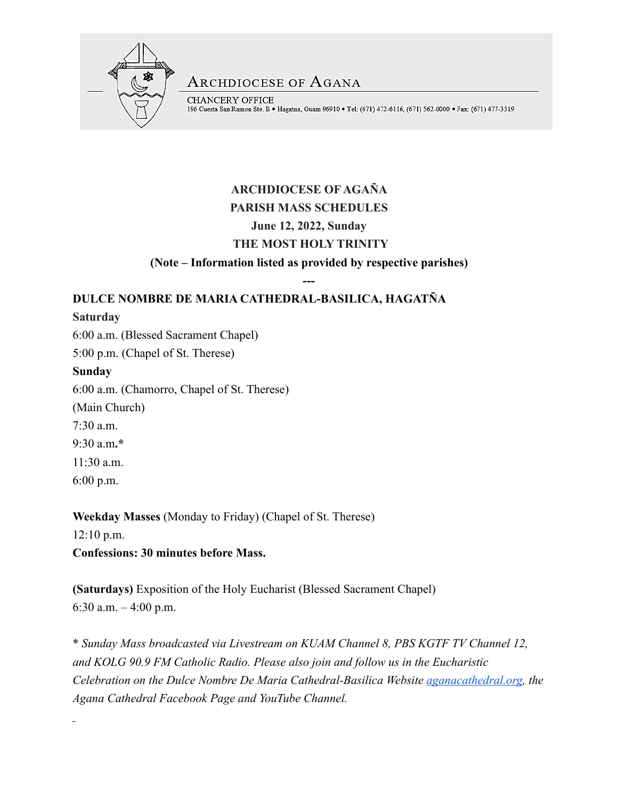

**ARCHDIOCESE OF AGANA** 

CHANCERY OFFICE 196 Cuesta San Ramon Ste. B · Hagatna, Guam 96910 · Tel: (671) 472-6116, (671) 562-0000 · Fax: (671) 477-3519

# **ARCHDIOCESE OF AGAÑA PARISH MASS SCHEDULES June 12, 2022, Sunday THE MOST HOLY TRINITY**

**(Note – Information listed as provided by respective parishes)**

**---**

## **DULCE NOMBRE DE MARIA CATHEDRAL-BASILICA, HAGATÑA**

## **Saturday**

6:00 a.m. (Blessed Sacrament Chapel)

5:00 p.m. (Chapel of St. Therese)

## **Sunday**

6:00 a.m. (Chamorro, Chapel of St. Therese)

(Main Church)

7:30 a.m.

9:30 a.m**.\*** 

11:30 a.m.

6:00 p.m.

**Weekday Masses** (Monday to Friday) (Chapel of St. Therese) 12:10 p.m. **Confessions: 30 minutes before Mass.** 

**(Saturdays)** Exposition of the Holy Eucharist (Blessed Sacrament Chapel) 6:30 a.m. – 4:00 p.m.

\* *Sunday Mass broadcasted via Livestream on KUAM Channel 8, PBS KGTF TV Channel 12, and KOLG 90.9 FM Catholic Radio. Please also join and follow us in the Eucharistic Celebration on the Dulce Nombre De Maria Cathedral-Basilica Website [aganacathedral.org,](http://aganacathedral.org/) the Agana Cathedral Facebook Page and YouTube Channel.*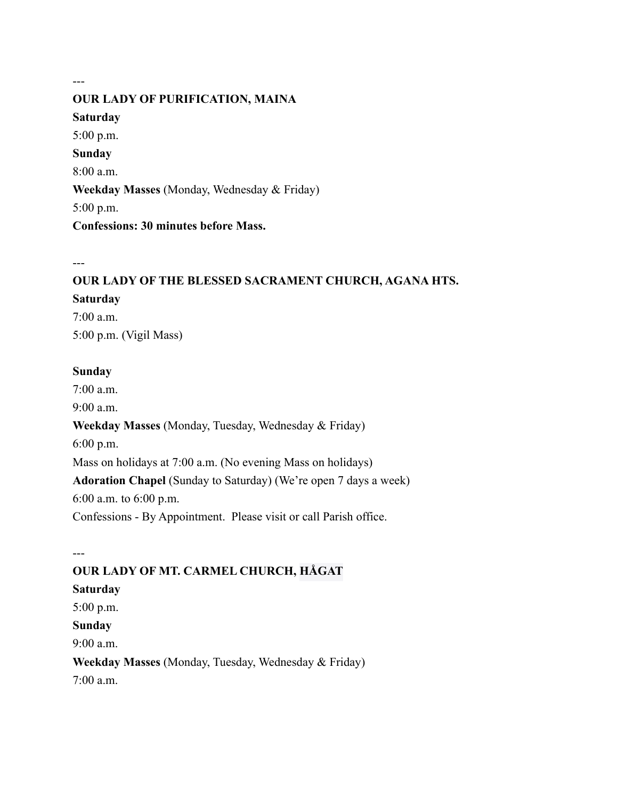# **OUR LADY OF PURIFICATION, MAINA Saturday** 5:00 p.m. **Sunday** 8:00 a.m. **Weekday Masses** (Monday, Wednesday & Friday) 5:00 p.m. **Confessions: 30 minutes before Mass.**

---

---

## **OUR LADY OF THE BLESSED SACRAMENT CHURCH, AGANA HTS.**

#### **Saturday**

7:00 a.m. 5:00 p.m. (Vigil Mass)

#### **Sunday**

7:00 a.m. 9:00 a.m. **Weekday Masses** (Monday, Tuesday, Wednesday & Friday) 6:00 p.m. Mass on holidays at 7:00 a.m. (No evening Mass on holidays) **Adoration Chapel** (Sunday to Saturday) (We're open 7 days a week) 6:00 a.m. to 6:00 p.m. Confessions - By Appointment. Please visit or call Parish office.

---

# **OUR LADY OF MT. CARMEL CHURCH, HÅGAT Saturday** 5:00 p.m. **Sunday** 9:00 a.m. **Weekday Masses** (Monday, Tuesday, Wednesday & Friday) 7:00 a.m.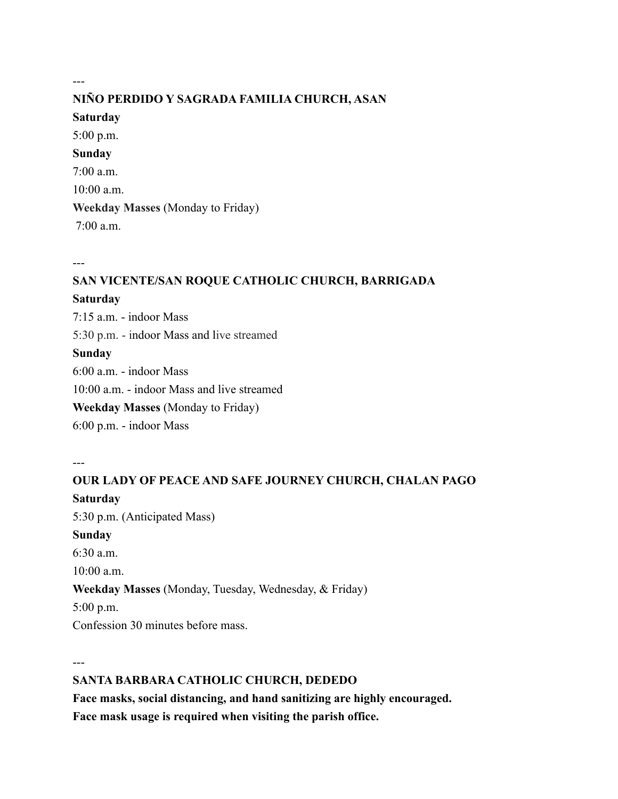# **NIÑO PERDIDO Y SAGRADA FAMILIA CHURCH, ASAN**

#### **Saturday**

---

5:00 p.m. **Sunday** 7:00 a.m. 10:00 a.m. **Weekday Masses** (Monday to Friday) 7:00 a.m.

---

## **SAN VICENTE/SAN ROQUE CATHOLIC CHURCH, BARRIGADA**

#### **Saturday**

7:15 a.m. - indoor Mass 5:30 p.m. - indoor Mass and live streamed **Sunday** 6:00 a.m. - indoor Mass 10:00 a.m. - indoor Mass and live streamed **Weekday Masses** (Monday to Friday) 6:00 p.m. - indoor Mass

---

# **OUR LADY OF PEACE AND SAFE JOURNEY CHURCH, CHALAN PAGO Saturday** 5:30 p.m. (Anticipated Mass) **Sunday**  $6.30 a m$ 10:00 a.m. **Weekday Masses** (Monday, Tuesday, Wednesday, & Friday) 5:00 p.m. Confession 30 minutes before mass.

---

## **SANTA BARBARA CATHOLIC CHURCH, DEDEDO**

**Face masks, social distancing, and hand sanitizing are highly encouraged. Face mask usage is required when visiting the parish office.**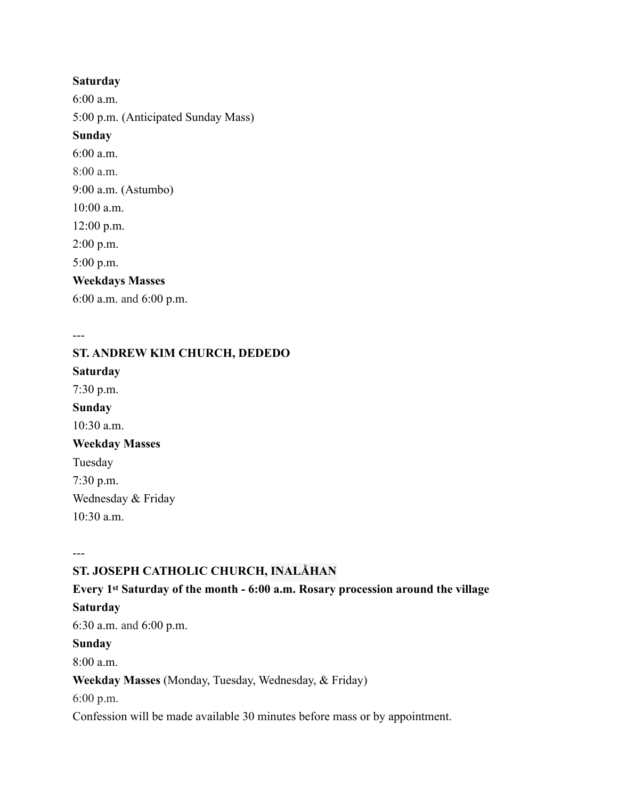#### **Saturday**

6:00 a.m. 5:00 p.m. (Anticipated Sunday Mass) **Sunday** 6:00 a.m. 8:00 a.m. 9:00 a.m. (Astumbo) 10:00 a.m. 12:00 p.m. 2:00 p.m. 5:00 p.m. **Weekdays Masses** 6:00 a.m. and 6:00 p.m.

**ST. ANDREW KIM CHURCH, DEDEDO Saturday** 7:30 p.m. **Sunday** 10:30 a.m. **Weekday Masses** Tuesday 7:30 p.m. Wednesday & Friday 10:30 a.m.

---

---

## **ST. JOSEPH CATHOLIC CHURCH, INALÅHAN**

# **Every 1st Saturday of the month - 6:00 a.m. Rosary procession around the village**

#### **Saturday**

6:30 a.m. and 6:00 p.m.

#### **Sunday**

8:00 a.m.

**Weekday Masses** (Monday, Tuesday, Wednesday, & Friday)

6:00 p.m.

Confession will be made available 30 minutes before mass or by appointment.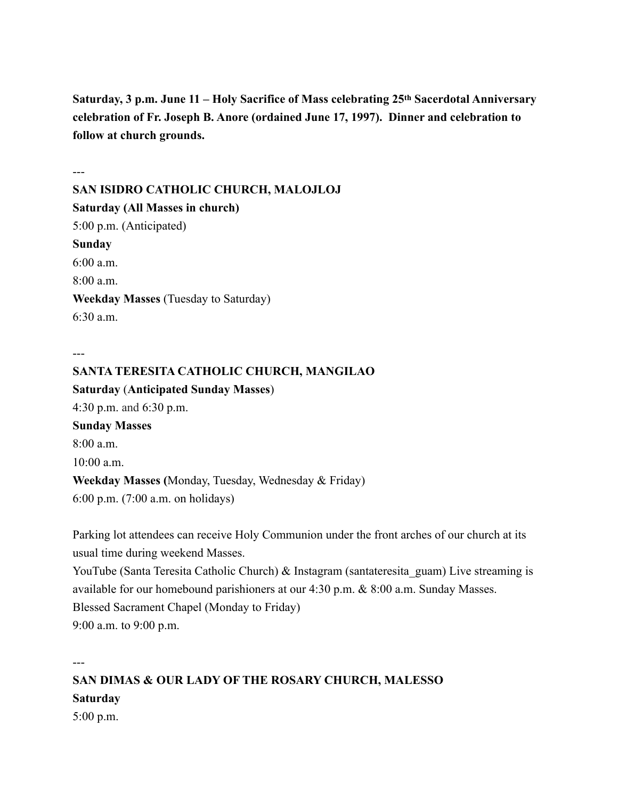**Saturday, 3 p.m. June 11 – Holy Sacrifice of Mass celebrating 25th Sacerdotal Anniversary celebration of Fr. Joseph B. Anore (ordained June 17, 1997). Dinner and celebration to follow at church grounds.**

--- **SAN ISIDRO CATHOLIC CHURCH, MALOJLOJ Saturday (All Masses in church)** 5:00 p.m. (Anticipated) **Sunday** 6:00 a.m.  $8:00a \, \text{m}$ **Weekday Masses** (Tuesday to Saturday) 6:30 a.m.

---

---

**SANTA TERESITA CATHOLIC CHURCH, MANGILAO Saturday** (**Anticipated Sunday Masses**) 4:30 p.m. and 6:30 p.m. **Sunday Masses** 8:00 a.m.  $10:00$  a.m. **Weekday Masses (**Monday, Tuesday, Wednesday & Friday) 6:00 p.m. (7:00 a.m. on holidays)

Parking lot attendees can receive Holy Communion under the front arches of our church at its usual time during weekend Masses.

YouTube (Santa Teresita Catholic Church) & Instagram (santateresita guam) Live streaming is available for our homebound parishioners at our 4:30 p.m. & 8:00 a.m. Sunday Masses. Blessed Sacrament Chapel (Monday to Friday) 9:00 a.m. to 9:00 p.m.

**SAN DIMAS & OUR LADY OF THE ROSARY CHURCH, MALESSO Saturday** 5:00 p.m.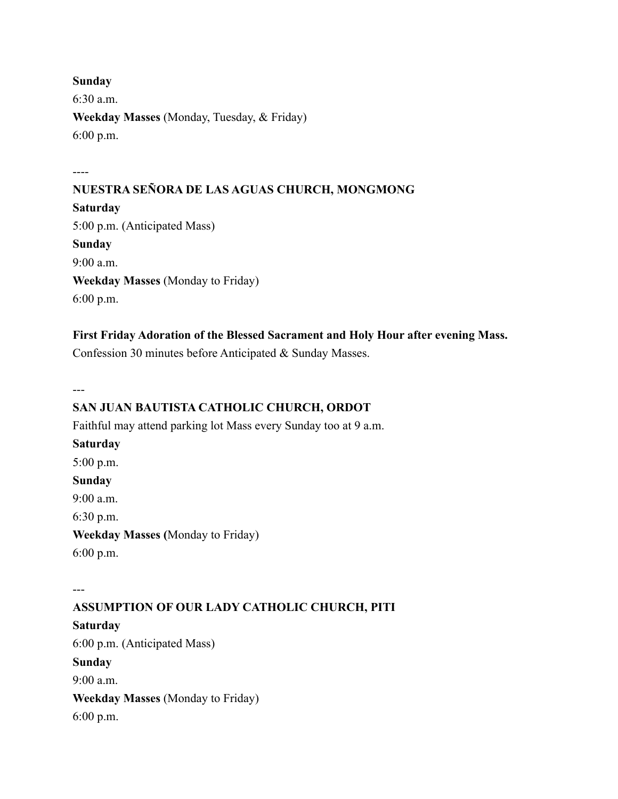#### **Sunday**

6:30 a.m. **Weekday Masses** (Monday, Tuesday, & Friday) 6:00 p.m.

----

#### **NUESTRA SEÑORA DE LAS AGUAS CHURCH, MONGMONG**

**Saturday** 5:00 p.m. (Anticipated Mass) **Sunday** 9:00 a.m. **Weekday Masses** (Monday to Friday) 6:00 p.m.

#### **First Friday Adoration of the Blessed Sacrament and Holy Hour after evening Mass.**

Confession 30 minutes before Anticipated & Sunday Masses.

---

#### **SAN JUAN BAUTISTA CATHOLIC CHURCH, ORDOT**

Faithful may attend parking lot Mass every Sunday too at 9 a.m.

**Saturday** 5:00 p.m. **Sunday** 9:00 a.m. 6:30 p.m. **Weekday Masses (**Monday to Friday)

6:00 p.m.

--- **ASSUMPTION OF OUR LADY CATHOLIC CHURCH, PITI Saturday** 6:00 p.m. (Anticipated Mass) **Sunday**  $9.00 a m$ **Weekday Masses** (Monday to Friday) 6:00 p.m.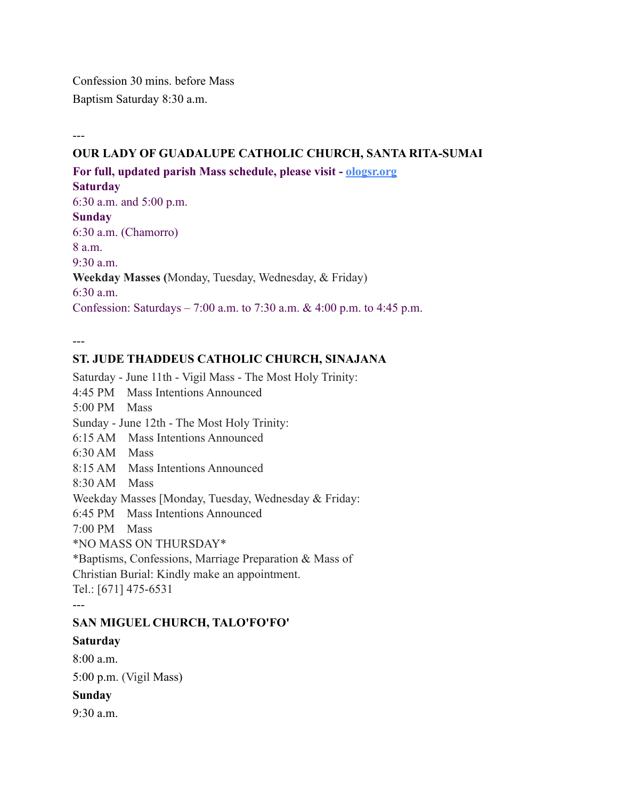Confession 30 mins. before Mass Baptism Saturday 8:30 a.m.

---

#### **OUR LADY OF GUADALUPE CATHOLIC CHURCH, SANTA RITA-SUMAI**

**For full, updated parish Mass schedule, please visit - [ologsr.org](http://ologsr.org/)**

#### **Saturday**

6:30 a.m. and 5:00 p.m. **Sunday** 6:30 a.m. (Chamorro)  $8a \, \text{m}$  $9.30$  a.m. **Weekday Masses (**Monday, Tuesday, Wednesday, & Friday) 6:30 a.m. Confession: Saturdays – 7:00 a.m. to 7:30 a.m. & 4:00 p.m. to 4:45 p.m.

---

#### **ST. JUDE THADDEUS CATHOLIC CHURCH, SINAJANA**

Saturday - June 11th - Vigil Mass - The Most Holy Trinity: 4:45 PM Mass Intentions Announced 5:00 PM Mass Sunday - June 12th - The Most Holy Trinity: 6:15 AM Mass Intentions Announced 6:30 AM Mass 8:15 AM Mass Intentions Announced 8:30 AM Mass Weekday Masses [Monday, Tuesday, Wednesday & Friday: 6:45 PM Mass Intentions Announced 7:00 PM Mass \*NO MASS ON THURSDAY\* \*Baptisms, Confessions, Marriage Preparation & Mass of Christian Burial: Kindly make an appointment. Tel.: [671] 475-6531 --- **SAN MIGUEL CHURCH, TALO'FO'FO'**

#### **Saturday**

 $8:00a \, \text{m}$ 5:00 p.m. (Vigil Mass)

#### **Sunday**

9:30 a.m.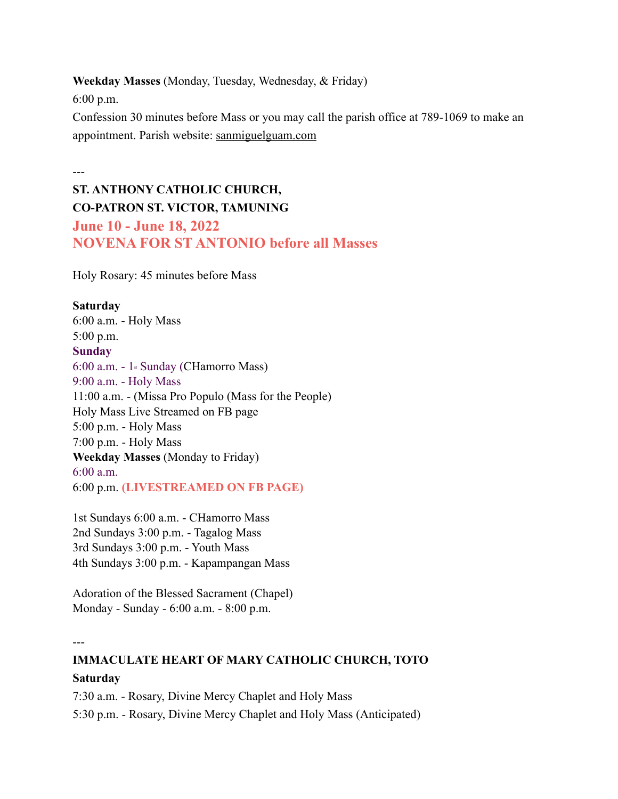**Weekday Masses** (Monday, Tuesday, Wednesday, & Friday)

6:00 p.m.

Confession 30 minutes before Mass or you may call the parish office at 789-1069 to make an appointment. Parish website: [sanmiguelguam.com](http://sanmiguelguam.com)

---

# **ST. ANTHONY CATHOLIC CHURCH, CO-PATRON ST. VICTOR, TAMUNING June 10 - June 18, 2022 NOVENA FOR ST ANTONIO before all Masses**

Holy Rosary: 45 minutes before Mass

#### **Saturday**

6:00 a.m. - Holy Mass 5:00 p.m. **Sunday** 6:00 a.m. - 1st Sunday (CHamorro Mass) 9:00 a.m. - Holy Mass 11:00 a.m. - (Missa Pro Populo (Mass for the People) Holy Mass Live Streamed on FB page 5:00 p.m. - Holy Mass 7:00 p.m. - Holy Mass **Weekday Masses** (Monday to Friday) 6:00 a.m. 6:00 p.m. **(LIVESTREAMED ON FB PAGE)**

1st Sundays 6:00 a.m. - CHamorro Mass 2nd Sundays 3:00 p.m. - Tagalog Mass 3rd Sundays 3:00 p.m. - Youth Mass 4th Sundays 3:00 p.m. - Kapampangan Mass

Adoration of the Blessed Sacrament (Chapel) Monday - Sunday - 6:00 a.m. - 8:00 p.m.

---

## **IMMACULATE HEART OF MARY CATHOLIC CHURCH, TOTO Saturday**

7:30 a.m. - Rosary, Divine Mercy Chaplet and Holy Mass 5:30 p.m. - Rosary, Divine Mercy Chaplet and Holy Mass (Anticipated)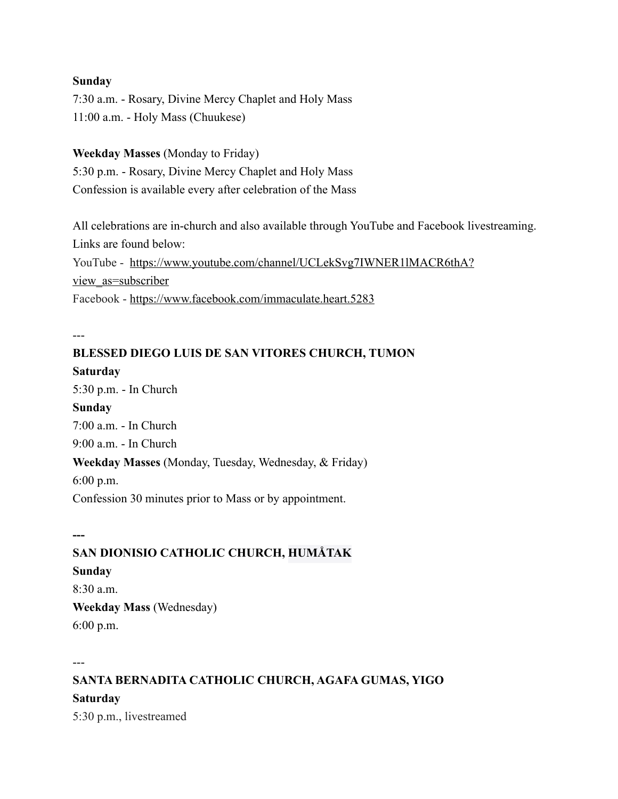#### **Sunday**

7:30 a.m. - Rosary, Divine Mercy Chaplet and Holy Mass 11:00 a.m. - Holy Mass (Chuukese)

**Weekday Masses** (Monday to Friday) 5:30 p.m. - Rosary, Divine Mercy Chaplet and Holy Mass Confession is available every after celebration of the Mass

All celebrations are in-church and also available through YouTube and Facebook livestreaming. Links are found below: YouTube - [https://www.youtube.com/channel/UCLekSvg7IWNER1lMACR6thA?](https://www.youtube.com/channel/UCLekSvg7IWNER1lMACR6thA?view_as=subscriber) [view\\_as=subscriber](https://www.youtube.com/channel/UCLekSvg7IWNER1lMACR6thA?view_as=subscriber) Facebook - <https://www.facebook.com/immaculate.heart.5283>

---

# **BLESSED DIEGO LUIS DE SAN VITORES CHURCH, TUMON Saturday** 5:30 p.m. - In Church **Sunday** 7:00 a.m. - In Church 9:00 a.m. - In Church **Weekday Masses** (Monday, Tuesday, Wednesday, & Friday) 6:00 p.m. Confession 30 minutes prior to Mass or by appointment.

**SAN DIONISIO CATHOLIC CHURCH, HUMÅTAK**

#### **Sunday**

**---**

8:30 a.m. **Weekday Mass** (Wednesday) 6:00 p.m.

---

**SANTA BERNADITA CATHOLIC CHURCH, AGAFA GUMAS, YIGO Saturday** 5:30 p.m., livestreamed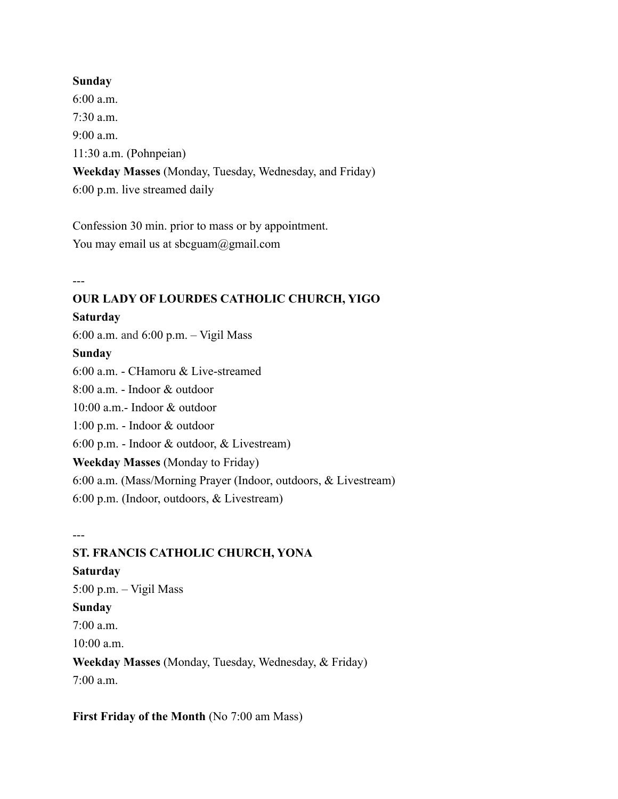#### **Sunday**

6:00 a.m. 7:30 a.m. 9:00 a.m. 11:30 a.m. (Pohnpeian) **Weekday Masses** (Monday, Tuesday, Wednesday, and Friday) 6:00 p.m. live streamed daily

Confession 30 min. prior to mass or by appointment. You may email us at sbcguam@gmail.com

---

#### **OUR LADY OF LOURDES CATHOLIC CHURCH, YIGO**

#### **Saturday**

6:00 a.m. and 6:00 p.m. – Vigil Mass

#### **Sunday**

6:00 a.m. - CHamoru & Live-streamed

8:00 a.m. - Indoor & outdoor

10:00 a.m.- Indoor & outdoor

1:00 p.m. - Indoor & outdoor

6:00 p.m. - Indoor & outdoor, & Livestream)

#### **Weekday Masses** (Monday to Friday)

6:00 a.m. (Mass/Morning Prayer (Indoor, outdoors, & Livestream)

6:00 p.m. (Indoor, outdoors, & Livestream)

---

#### **ST. FRANCIS CATHOLIC CHURCH, YONA**

**Saturday** 5:00 p.m. – Vigil Mass **Sunday** 7:00 a.m. 10:00 a.m. **Weekday Masses** (Monday, Tuesday, Wednesday, & Friday)  $7:00$  a.m.

**First Friday of the Month (No 7:00 am Mass)**